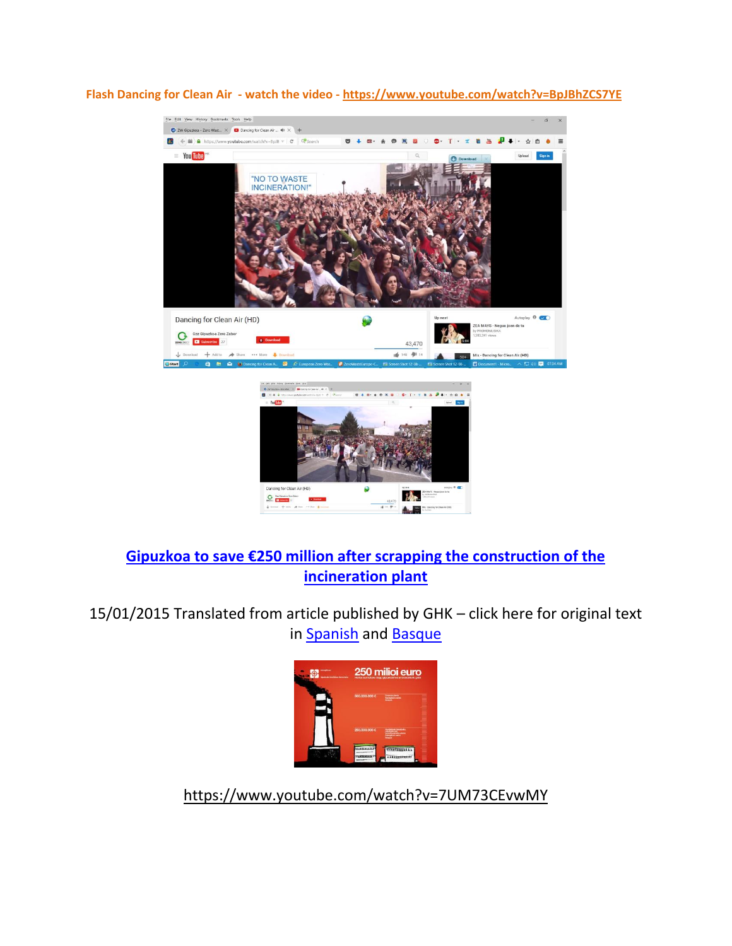

**Flash Dancing for Clean Air - watch the video - https://www.youtube.com/watch?v=BpJBhZCS7YE**

## **[Gipuzkoa to save €250 million after scrapping the construction of the](http://www.zerowasteeurope.eu/2015/01/gipuzkoa-to-save-e250-million-after-scrapping-the-construction-of-an-incineration-plant/)  [incineration plant](http://www.zerowasteeurope.eu/2015/01/gipuzkoa-to-save-e250-million-after-scrapping-the-construction-of-an-incineration-plant/)**

15/01/2015 Translated from article published by GHK – click here for original text in **Spanish** and **Basque** 



https://www.youtube.com/watch?v=7UM73CEvwMY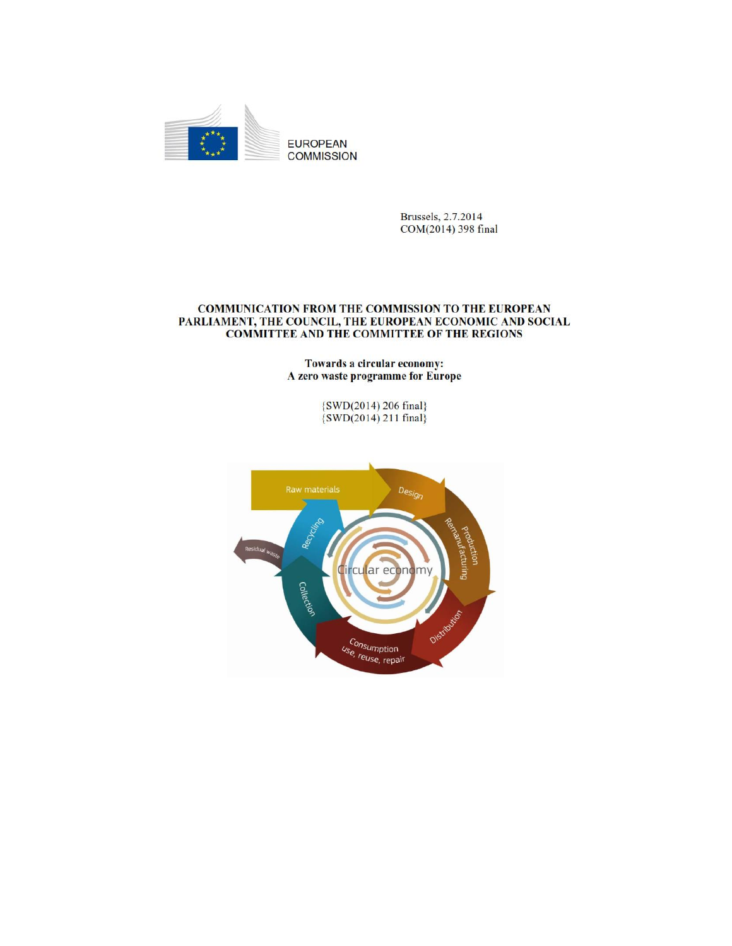

Brussels, 2.7.2014 COM(2014) 398 final

#### COMMUNICATION FROM THE COMMISSION TO THE EUROPEAN PARLIAMENT, THE COUNCIL, THE EUROPEAN ECONOMIC AND SOCIAL **COMMITTEE AND THE COMMITTEE OF THE REGIONS**

Towards a circular economy: A zero waste programme for Europe

 $\{SWD(2014) 206 final\}$ <br> $\{SWD(2014) 211 final\}$ 

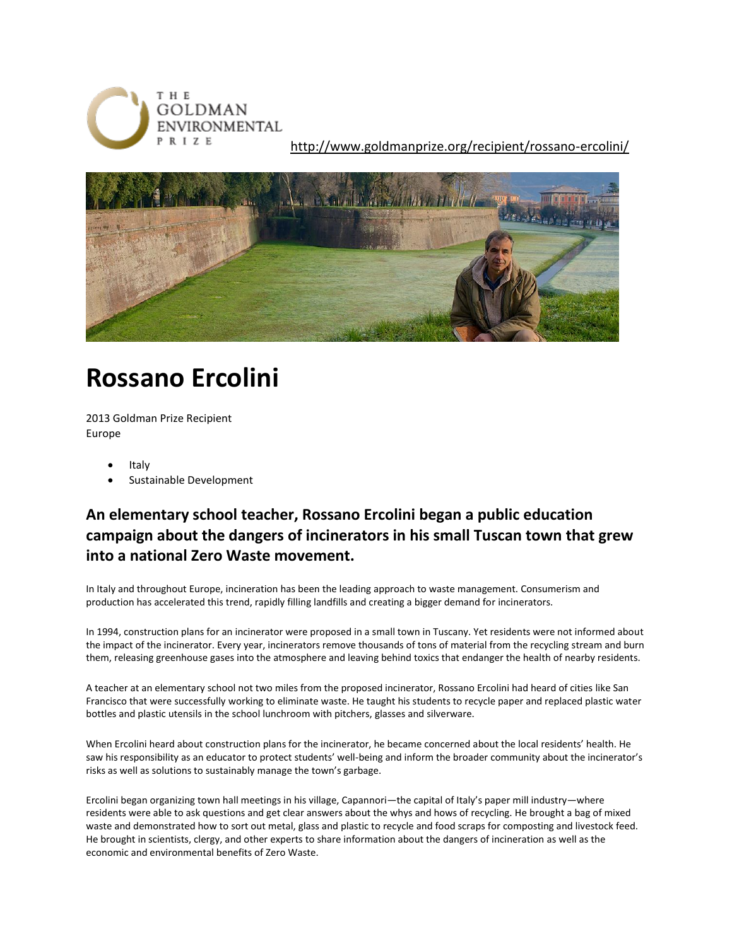

http://www.goldmanprize.org/recipient/rossano-ercolini/



# **Rossano Ercolini**

2013 Goldman Prize Recipient Europe

- Italy
- Sustainable Development

## **An elementary school teacher, Rossano Ercolini began a public education campaign about the dangers of incinerators in his small Tuscan town that grew into a national Zero Waste movement.**

In Italy and throughout Europe, incineration has been the leading approach to waste management. Consumerism and production has accelerated this trend, rapidly filling landfills and creating a bigger demand for incinerators.

In 1994, construction plans for an incinerator were proposed in a small town in Tuscany. Yet residents were not informed about the impact of the incinerator. Every year, incinerators remove thousands of tons of material from the recycling stream and burn them, releasing greenhouse gases into the atmosphere and leaving behind toxics that endanger the health of nearby residents.

A teacher at an elementary school not two miles from the proposed incinerator, Rossano Ercolini had heard of cities like San Francisco that were successfully working to eliminate waste. He taught his students to recycle paper and replaced plastic water bottles and plastic utensils in the school lunchroom with pitchers, glasses and silverware.

When Ercolini heard about construction plans for the incinerator, he became concerned about the local residents' health. He saw his responsibility as an educator to protect students' well-being and inform the broader community about the incinerator's risks as well as solutions to sustainably manage the town's garbage.

Ercolini began organizing town hall meetings in his village, Capannori—the capital of Italy's paper mill industry—where residents were able to ask questions and get clear answers about the whys and hows of recycling. He brought a bag of mixed waste and demonstrated how to sort out metal, glass and plastic to recycle and food scraps for composting and livestock feed. He brought in scientists, clergy, and other experts to share information about the dangers of incineration as well as the economic and environmental benefits of Zero Waste.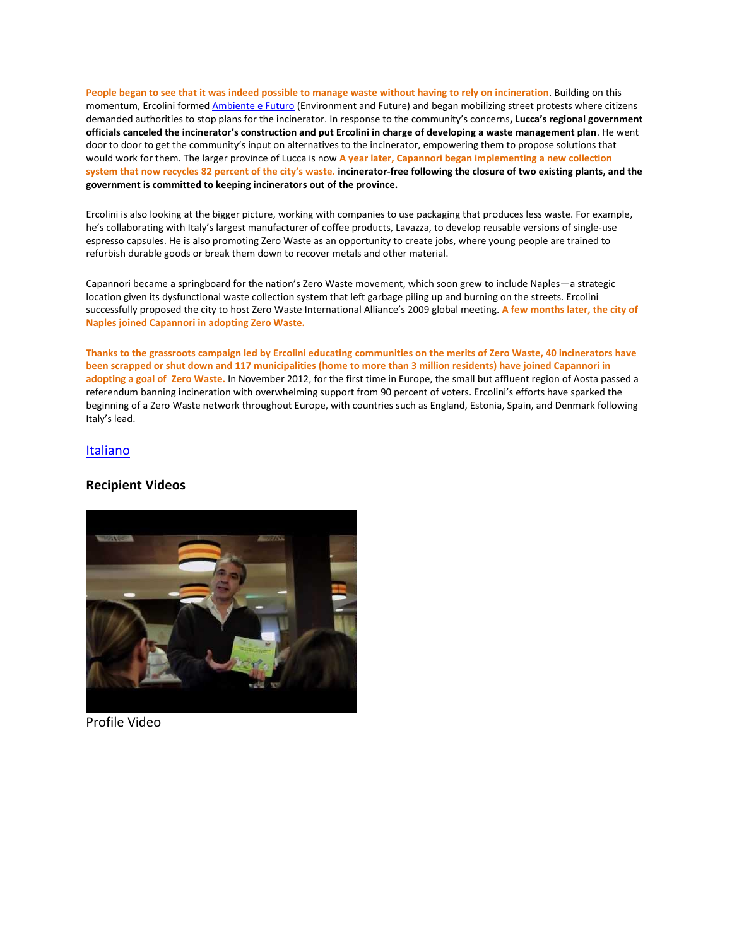**People began to see that it was indeed possible to manage waste without having to rely on incineration**. Building on this momentum, Ercolini forme[d Ambiente e Futuro](http://ambientefuturo.org/) (Environment and Future) and began mobilizing street protests where citizens demanded authorities to stop plans for the incinerator. In response to the community's concerns**, Lucca's regional government officials canceled the incinerator's construction and put Ercolini in charge of developing a waste management plan**. He went door to door to get the community's input on alternatives to the incinerator, empowering them to propose solutions that would work for them. The larger province of Lucca is now **A year later, Capannori began implementing a new collection system that now recycles 82 percent of the city's waste. incinerator-free following the closure of two existing plants, and the government is committed to keeping incinerators out of the province.**

Ercolini is also looking at the bigger picture, working with companies to use packaging that produces less waste. For example, he's collaborating with Italy's largest manufacturer of coffee products, Lavazza, to develop reusable versions of single-use espresso capsules. He is also promoting Zero Waste as an opportunity to create jobs, where young people are trained to refurbish durable goods or break them down to recover metals and other material.

Capannori became a springboard for the nation's Zero Waste movement, which soon grew to include Naples—a strategic location given its dysfunctional waste collection system that left garbage piling up and burning on the streets. Ercolini successfully proposed the city to host Zero Waste International Alliance's 2009 global meeting. **A few months later, the city of Naples joined Capannori in adopting Zero Waste.**

**Thanks to the grassroots campaign led by Ercolini educating communities on the merits of Zero Waste, 40 incinerators have been scrapped or shut down and 117 municipalities (home to more than 3 million residents) have joined Capannori in adopting a goal of Zero Waste.** In November 2012, for the first time in Europe, the small but affluent region of Aosta passed a referendum banning incineration with overwhelming support from 90 percent of voters. Ercolini's efforts have sparked the beginning of a Zero Waste network throughout Europe, with countries such as England, Estonia, Spain, and Denmark following Italy's lead.

#### [Italiano](http://www.goldmanprize.org/recipient/rossano-ercolini/#Italiano)

### **Recipient Videos**



Profile Video